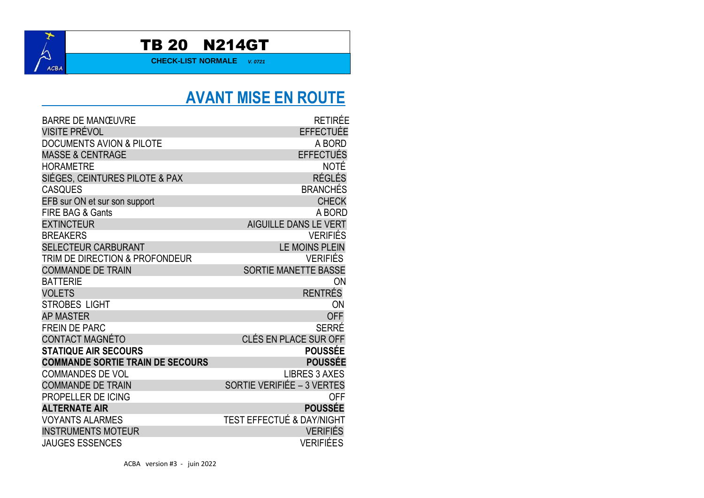

#### TB 20 N214GT

**CHECK-LIST NORMALE** *V. 0721*

### **AVANT MISE EN ROUTE**

| <b>BARRE DE MANŒUVRE</b>                | <b>RETIRÉE</b>                       |
|-----------------------------------------|--------------------------------------|
| VISITE PRÉVOL                           | <b>EFFECTUÉE</b>                     |
| <b>DOCUMENTS AVION &amp; PILOTE</b>     | A BORD                               |
| <b>MASSE &amp; CENTRAGE</b>             | <b>EFFECTUÉS</b>                     |
| <b>HORAMETRE</b>                        | <b>NOTÉ</b>                          |
| SIÉGES, CEINTURES PILOTE & PAX          | <b>RÉGLÉS</b>                        |
| <b>CASQUES</b>                          | <b>BRANCHÉS</b>                      |
| EFB sur ON et sur son support           | <b>CHECK</b>                         |
| <b>FIRE BAG &amp; Gants</b>             | A BORD                               |
| <b>EXTINCTEUR</b>                       | <b>AIGUILLE DANS LE VERT</b>         |
| <b>BREAKERS</b>                         | <b>VERIFIÉS</b>                      |
| <b>SELECTEUR CARBURANT</b>              | <b>LE MOINS PLEIN</b>                |
| TRIM DE DIRECTION & PROFONDEUR          | <b>VERIFIÉS</b>                      |
| <b>COMMANDE DE TRAIN</b>                | <b>SORTIE MANETTE BASSE</b>          |
| <b>BATTERIE</b>                         | ON                                   |
| <b>VOLETS</b>                           | <b>RENTRÉS</b>                       |
| <b>STROBES LIGHT</b>                    | ON                                   |
| <b>AP MASTER</b>                        | <b>OFF</b>                           |
| <b>FREIN DE PARC</b>                    | <b>SERRÉ</b>                         |
| CONTACT MAGNÉTO                         | CLÉS EN PLACE SUR OFF                |
| <b>STATIQUE AIR SECOURS</b>             | <b>POUSSÉE</b>                       |
| <b>COMMANDE SORTIE TRAIN DE SECOURS</b> | <b>POUSSÉE</b>                       |
| <b>COMMANDES DE VOL</b>                 | <b>LIBRES 3 AXES</b>                 |
| <b>COMMANDE DE TRAIN</b>                | <b>SORTIE VERIFIÉE - 3 VERTES</b>    |
| PROPELLER DE ICING                      | <b>OFF</b>                           |
| <b>ALTERNATE AIR</b>                    | <b>POUSSÉE</b>                       |
| <b>VOYANTS ALARMES</b>                  | <b>TEST EFFECTUÉ &amp; DAY/NIGHT</b> |
| <b>INSTRUMENTS MOTEUR</b>               | <b>VERIFIÉS</b>                      |
| <b>JAUGES ESSENCES</b>                  | <b>VERIFIÉES</b>                     |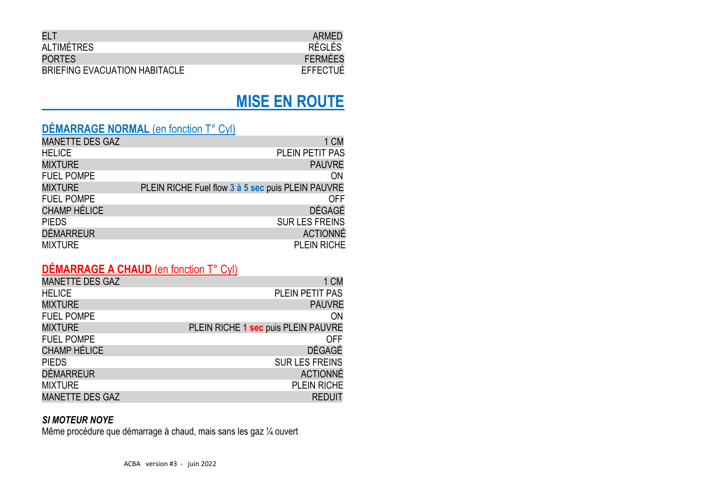| ELT                           | ARMED           |
|-------------------------------|-----------------|
| ALTIMÉTRES                    | RÉGLÉS          |
| <b>PORTES</b>                 | <b>FERMÉES</b>  |
| BRIEFING EVACUATION HABITACLE | <b>EFFECTUÉ</b> |

#### **MISE EN ROUTE**

#### **DÉMARRAGE NORMAL** (en fonction T° Cyl)

| <b>MANETTE DES GAZ</b> | 1 CM                                              |
|------------------------|---------------------------------------------------|
| <b>HELICE</b>          | PLEIN PETIT PAS                                   |
| <b>MIXTURE</b>         | <b>PAUVRE</b>                                     |
| <b>FUEL POMPE</b>      | ON                                                |
| <b>MIXTURE</b>         | PLEIN RICHE Fuel flow 3 à 5 sec puis PLEIN PAUVRE |
| <b>FUEL POMPE</b>      | <b>OFF</b>                                        |
| <b>CHAMP HÉLICE</b>    | <b>DÉGAGÉ</b>                                     |
| <b>PIEDS</b>           | <b>SUR LES FREINS</b>                             |
| <b>DÉMARREUR</b>       | <b>ACTIONNÉ</b>                                   |
| <b>MIXTURE</b>         | <b>PLEIN RICHE</b>                                |

#### **DÉMARRAGE A CHAUD** (en fonction T° Cyl)

| <b>MANETTE DES GAZ</b> | 1 CM                                |
|------------------------|-------------------------------------|
| <b>HELICE</b>          | PLEIN PETIT PAS                     |
| <b>MIXTURE</b>         | <b>PAUVRE</b>                       |
| <b>FUEL POMPE</b>      | ON                                  |
| <b>MIXTURE</b>         | PLEIN RICHE 1 sec puis PLEIN PAUVRE |
| <b>FUEL POMPE</b>      | <b>OFF</b>                          |
| <b>CHAMP HÉLICE</b>    | DÉGAGÉ                              |
| <b>PIEDS</b>           | <b>SUR LES FREINS</b>               |
| <b>DÉMARREUR</b>       | <b>ACTIONNÉ</b>                     |
| <b>MIXTURE</b>         | PLEIN RICHE                         |
| <b>MANETTE DES GAZ</b> | <b>REDUIT</b>                       |

#### *SI MOTEUR NOYE*

Même procédure que démarrage à chaud, mais sans les gaz ¼ ouvert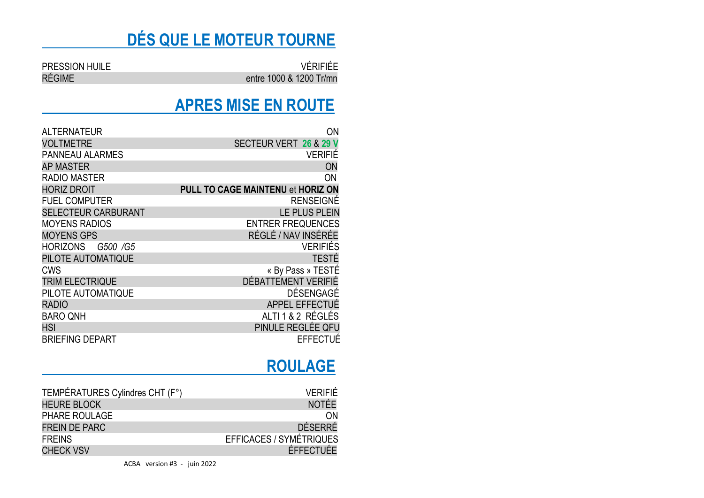# **DÉS QUE LE MOTEUR TOURNE**

PRESSION HUILE VÉRIFIÉE entre 1000 & 1200 Tr/mn

#### **APRES MISE EN ROUTE**

| <b>ALTERNATEUR</b>         | ON                                       |
|----------------------------|------------------------------------------|
| <b>VOLTMETRE</b>           | SECTEUR VERT 26 & 29 V                   |
| <b>PANNEAU ALARMES</b>     | <b>VERIFIÉ</b>                           |
| <b>AP MASTER</b>           | ON                                       |
| <b>RADIO MASTER</b>        | ON                                       |
| <b>HORIZ DROIT</b>         | <b>PULL TO CAGE MAINTENU et HORIZ ON</b> |
| <b>FUEL COMPUTER</b>       | <b>RENSEIGNÉ</b>                         |
| <b>SELECTEUR CARBURANT</b> | LE PLUS PLEIN                            |
| <b>MOYENS RADIOS</b>       | <b>ENTRER FREQUENCES</b>                 |
| <b>MOYENS GPS</b>          | RÉGLÉ / NAV INSÉRÉE                      |
| HORIZONS G500 /G5          | <b>VERIFIÉS</b>                          |
| PILOTE AUTOMATIQUE         | <b>TESTÉ</b>                             |
| CWS                        | « By Pass » TESTÉ                        |
| <b>TRIM ELECTRIQUE</b>     | DÉBATTEMENT VERIFIÉ                      |
| PILOTE AUTOMATIQUE         | DÉSENGAGÉ                                |
| <b>RADIO</b>               | APPEL EFFECTUÉ                           |
| <b>BARO QNH</b>            | ALTI 1 & 2 RÉGLÉS                        |
| <b>HSI</b>                 | PINULE REGLÉE QFU                        |
| <b>BRIEFING DEPART</b>     | <b>EFFECTUE</b>                          |

### **ROULAGE**

| TEMPÉRATURES Cylindres CHT (F°) | VERIFIÉ                        |
|---------------------------------|--------------------------------|
| <b>HEURE BLOCK</b>              | <b>NOTÉE</b>                   |
| <b>PHARE ROULAGE</b>            | <b>ON</b>                      |
| <b>FREIN DE PARC</b>            | DÉSERRÉ                        |
| <b>FREINS</b>                   | <b>EFFICACES / SYMÉTRIQUES</b> |
| <b>CHECK VSV</b>                | ÉFFECTUÉE                      |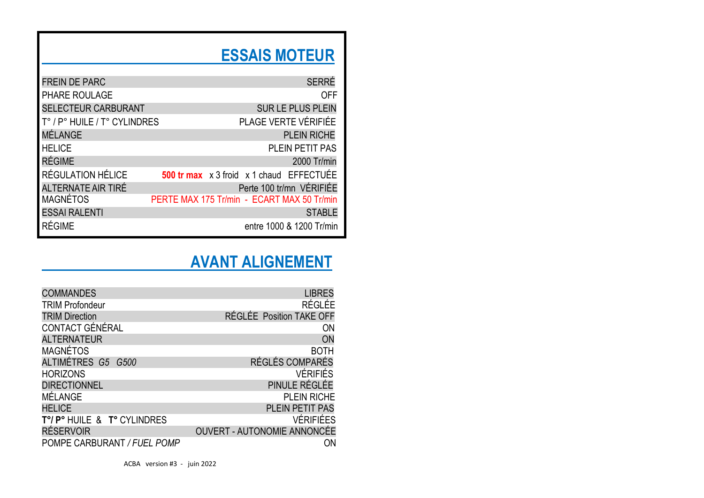# **ESSAIS MOTEUR**

| <b>FREIN DE PARC</b>         |  | <b>SERRÉ</b>                                                  |
|------------------------------|--|---------------------------------------------------------------|
| PHARE ROULAGE                |  | <b>OFF</b>                                                    |
| <b>SELECTEUR CARBURANT</b>   |  | SUR LE PLUS PLEIN                                             |
| T° / P° HUILE / T° CYLINDRES |  | PLAGE VERTE VÉRIFIÉE                                          |
| MÉLANGE                      |  | <b>PLEIN RICHE</b>                                            |
| <b>HELICE</b>                |  | PLEIN PETIT PAS                                               |
| <b>RÉGIME</b>                |  | 2000 Tr/min                                                   |
| RÉGULATION HÉLICE            |  | <b>500 tr max</b> $\times$ 3 froid $\times$ 1 chaud EFFECTUEE |
| ALTERNATE AIR TIRÉ           |  | Perte 100 tr/mn VÉRIFIÉE                                      |
| <b>MAGNÉTOS</b>              |  | PERTE MAX 175 Tr/min - ECART MAX 50 Tr/min                    |
| <b>ESSAI RALENTI</b>         |  | <b>STABLE</b>                                                 |
| <b>RÉGIME</b>                |  | entre 1000 & 1200 Tr/min                                      |

## **AVANT ALIGNEMENT**

| <b>COMMANDES</b>            | <b>LIBRES</b>                      |
|-----------------------------|------------------------------------|
| <b>TRIM Profondeur</b>      | <b>RÉGLÉE</b>                      |
| <b>TRIM Direction</b>       | RÉGLÉE Position TAKE OFF           |
| CONTACT GÉNÉRAL             | ON                                 |
| <b>ALTERNATEUR</b>          | ON                                 |
| <b>MAGNÉTOS</b>             | <b>BOTH</b>                        |
| ALTIMÉTRES G5 G500          | RÉGLÉS COMPARÉS                    |
| <b>HORIZONS</b>             | <b>VÉRIFIÉS</b>                    |
| <b>DIRECTIONNEL</b>         | PINULE RÉGLÉE                      |
| MÉLANGE                     | <b>PLEIN RICHE</b>                 |
| <b>HELICE</b>               | PLEIN PETIT PAS                    |
| T°/P° HUILE & T° CYLINDRES  | <b>VÉRIFIÉES</b>                   |
| <b>RÉSERVOIR</b>            | <b>OUVERT - AUTONOMIE ANNONCÉE</b> |
| POMPE CARBURANT / FUEL POMP | ΟN                                 |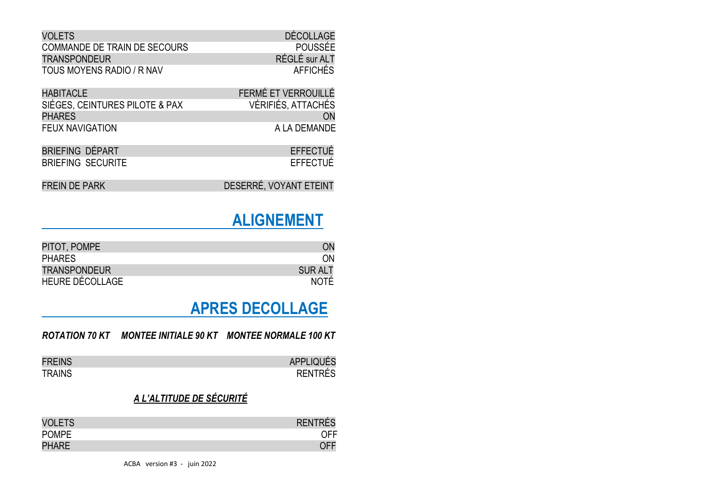| <b>VOLETS</b>                | DÉCOLLAGE       |
|------------------------------|-----------------|
| COMMANDE DE TRAIN DE SECOURS | POUSSÉE         |
| <b>TRANSPONDEUR</b>          | RÉGLÉ sur ALT   |
| TOUS MOYENS RADIO / R NAV    | <b>AFFICHÉS</b> |

| <b>HABITACLE</b>               | FERMÉ ET VERROUILLÉ |
|--------------------------------|---------------------|
| SIÉGES, CEINTURES PILOTE & PAX | VÉRIFIÉS, ATTACHÉS  |
| <b>PHARES</b>                  | ON.                 |
| <b>FEUX NAVIGATION</b>         | A LA DEMANDE        |

| BRIEFING DÉPART |                          | <b>EFFECTUÉ</b> |
|-----------------|--------------------------|-----------------|
|                 | <b>BRIEFING SECURITE</b> | <b>EFFECTUÉ</b> |

| FREIN DE PARK | DESERRÉ, VOYANT ETEINT |
|---------------|------------------------|
|               |                        |

#### **ALIGNEMENT**

| PITOT, POMPE           |               |
|------------------------|---------------|
| <b>PHARES</b>          | ΩN            |
| <b>TRANSPONDEUR</b>    | <b>SURALT</b> |
| <b>HEURE DÉCOLLAGE</b> | <b>NOTE</b>   |

### **APRES DECOLLAGE**

#### *ROTATION 70 KT MONTEE INITIALE 90 KT MONTEE NORMALE 100 KT*

| <b>FREINS</b> | <b>APPLIQUÉS</b> |
|---------------|------------------|
| <b>TRAINS</b> | <b>RENTRÉS</b>   |

#### *A L'ALTITUDE DE SÉCURITÉ*

| <b>VOLETS</b> | <b>RENTRES</b> |
|---------------|----------------|
| <b>POMPE</b>  |                |
| <b>PHARE</b>  |                |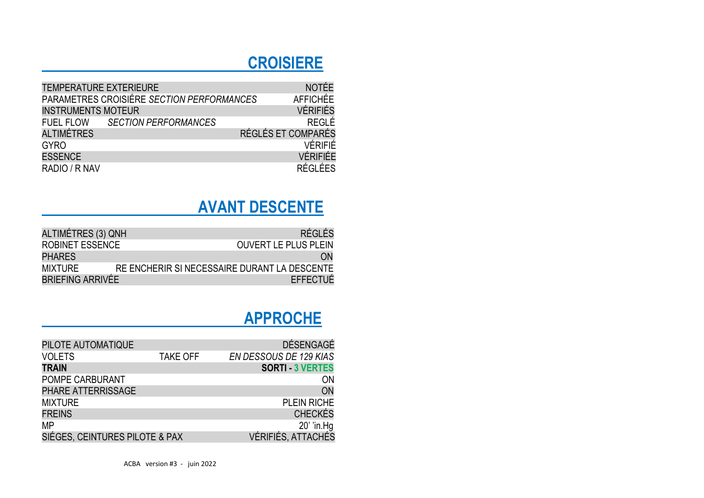## **CROISIERE**

| <b>TEMPERATURE EXTERIEURE</b> |                                           |                    | <b>NOTÉE</b>    |
|-------------------------------|-------------------------------------------|--------------------|-----------------|
|                               | PARAMETRES CROISIÉRE SECTION PERFORMANCES |                    | <b>AFFICHÉE</b> |
| <b>INSTRUMENTS MOTEUR</b>     |                                           |                    | <b>VÉRIFIÉS</b> |
| <b>FUEL FLOW</b>              | <b>SECTION PERFORMANCES</b>               |                    | <b>REGLÉ</b>    |
| <b>ALTIMÉTRES</b>             |                                           | RÉGLÉS ET COMPARÉS |                 |
| <b>GYRO</b>                   |                                           |                    | <b>VÉRIFIÉ</b>  |
| <b>ESSENCE</b>                |                                           |                    | VÉRIFIÉE        |
| RADIO / R NAV                 |                                           |                    | <b>RÉGLÉES</b>  |

# **AVANT DESCENTE**

| ALTIMÉTRES (3) QNH     | RÉGLÉS                                       |
|------------------------|----------------------------------------------|
| <b>ROBINET ESSENCE</b> | <b>OUVERT LE PLUS PLEIN</b>                  |
| <b>PHARES</b>          | ON                                           |
| <b>MIXTURE</b>         | RE ENCHERIR SI NECESSAIRE DURANT LA DESCENTE |
| BRIEFING ARRIVÉE       | <b>EFFECTUÉ</b>                              |

## **APPROCHE**

| PILOTE AUTOMATIQUE             |                 | <b>DÉSENGAGÉ</b>        |
|--------------------------------|-----------------|-------------------------|
| <b>VOLETS</b>                  | <b>TAKE OFF</b> | EN DESSOUS DE 129 KIAS  |
| <b>TRAIN</b>                   |                 | <b>SORTI - 3 VERTES</b> |
| POMPE CARBURANT                |                 | ON                      |
| PHARE ATTERRISSAGE             |                 | ON                      |
| <b>MIXTURE</b>                 |                 | <b>PLEIN RICHE</b>      |
| <b>FREINS</b>                  |                 | <b>CHECKÉS</b>          |
| <b>MP</b>                      |                 | 20' 'in.Hg              |
| SIÉGES, CEINTURES PILOTE & PAX |                 | VÉRIFIÉS, ATTACHÉS      |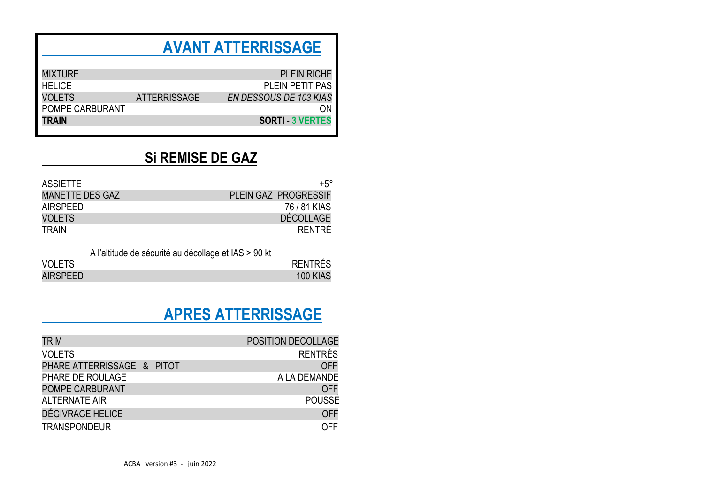#### **AVANT ATTERRISSAGE**

| <b>MIXTURE</b>         |                     | <b>PLEIN RICHE</b>            |
|------------------------|---------------------|-------------------------------|
| <b>HELICE</b>          |                     | <b>PLEIN PETIT PAS</b>        |
| <b>VOLETS</b>          | <b>ATTERRISSAGE</b> | <b>EN DESSOUS DE 103 KIAS</b> |
| <b>POMPE CARBURANT</b> |                     | ΩN                            |
| <b>TRAIN</b>           |                     | <b>SORTI - 3 VERTES</b>       |
|                        |                     |                               |

#### **Si REMISE DE GAZ**

| ASSIETTE        | $+5^\circ$                  |
|-----------------|-----------------------------|
| MANETTE DES GAZ | <b>PLEIN GAZ PROGRESSIF</b> |
| AIRSPFFD        | 76 / 81 KIAS                |
| <b>VOLETS</b>   | <b>DÉCOLLAGE</b>            |
| TRAIN           | RENTRE                      |

A l'altitude de sécurité au décollage et IAS > 90 kt

| <b>VOLETS</b>   | <b>RENTRÉS</b>  |
|-----------------|-----------------|
| <b>AIRSPEED</b> | <b>100 KIAS</b> |

### **APRES ATTERRISSAGE**

| <b>TRIM</b>                | POSITION DECOLLAGE |                |
|----------------------------|--------------------|----------------|
| <b>VOLETS</b>              |                    | <b>RENTRÉS</b> |
| PHARE ATTERRISSAGE & PITOT |                    | <b>OFF</b>     |
| PHARE DE ROULAGE           | A LA DEMANDE       |                |
| POMPE CARBURANT            |                    | <b>OFF</b>     |
| <b>ALTERNATE AIR</b>       |                    | POUSSÉ         |
| DÉGIVRAGE HELICE           |                    | <b>OFF</b>     |
| <b>TRANSPONDEUR</b>        |                    | OFF            |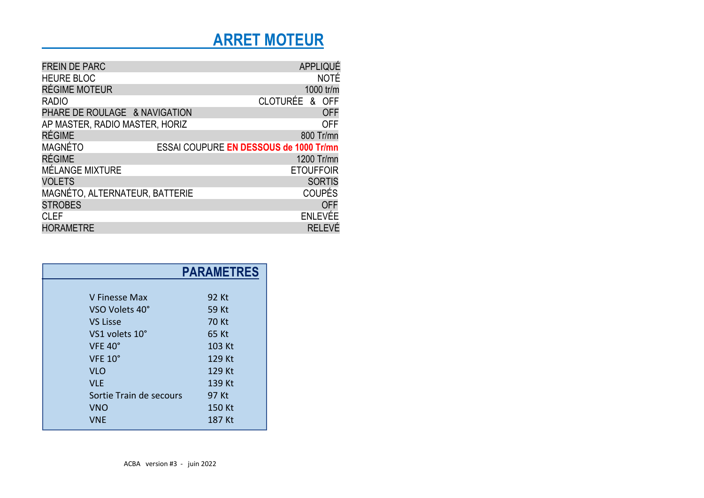## **ARRET MOTEUR**

| <b>FREIN DE PARC</b>           |                                        | APPLIQUÉ         |             |
|--------------------------------|----------------------------------------|------------------|-------------|
| <b>HEURE BLOC</b>              |                                        |                  | <b>NOTÉ</b> |
| RÉGIME MOTEUR                  |                                        | 1000 tr/m        |             |
| <b>RADIO</b>                   |                                        | CLOTURÉE & OFF   |             |
| PHARE DE ROULAGE & NAVIGATION  |                                        |                  | <b>OFF</b>  |
| AP MASTER, RADIO MASTER, HORIZ |                                        |                  | <b>OFF</b>  |
| <b>RÉGIME</b>                  |                                        | 800 Tr/mn        |             |
| <b>MAGNÉTO</b>                 | ESSAI COUPURE EN DESSOUS de 1000 Tr/mn |                  |             |
| <b>RÉGIME</b>                  |                                        | 1200 Tr/mn       |             |
| MÉLANGE MIXTURE                |                                        | <b>ETOUFFOIR</b> |             |
| <b>VOLETS</b>                  |                                        | <b>SORTIS</b>    |             |
| MAGNÉTO, ALTERNATEUR, BATTERIE |                                        | <b>COUPÉS</b>    |             |
| <b>STROBES</b>                 |                                        |                  | <b>OFF</b>  |
| <b>CLEF</b>                    |                                        | <b>ENLEVÉE</b>   |             |
| <b>HORAMETRE</b>               |                                        | <b>RELEVE</b>    |             |

|                         | <b>PARAMETRES</b> |
|-------------------------|-------------------|
|                         |                   |
| V Finesse Max           | 92 Kt             |
| VSO Volets 40°          | 59 Kt             |
| <b>VS Lisse</b>         | 70 Kt             |
| VS1 volets 10°          | 65 Kt             |
| VFE 40°                 | 103 Kt            |
| <b>VFE 10°</b>          | 129 Kt            |
| <b>VLO</b>              | 129 Kt            |
| <b>VLE</b>              | 139 Kt            |
| Sortie Train de secours | 97 Kt             |
| <b>VNO</b>              | 150 Kt            |
| VNE                     | 187 Kt            |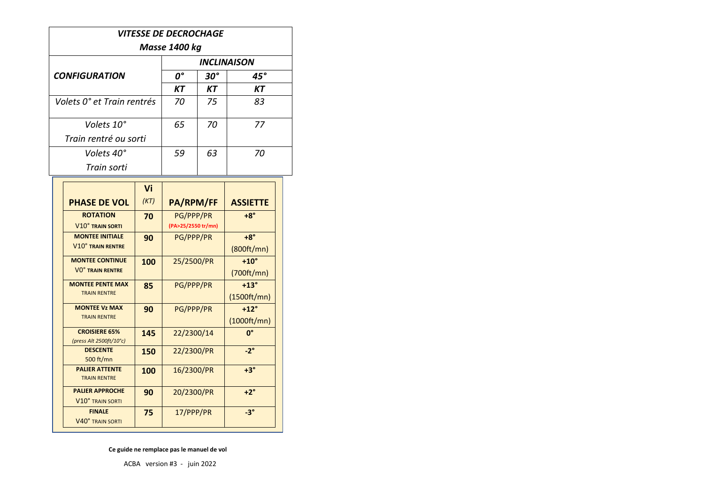| <i><b>VITESSE DE DECROCHAGE</b></i> |                                                                                                                                                                                                              |  |  |
|-------------------------------------|--------------------------------------------------------------------------------------------------------------------------------------------------------------------------------------------------------------|--|--|
|                                     | Masse 1400 kg<br><b>INCLINAISON</b><br>0°<br>$30^{\circ}$<br>45°<br>КT<br>KТ<br>KТ<br>70<br>75<br>83<br>Volets 10°<br>70<br>65<br>77<br>Train rentré ou sorti<br>Volets 40°<br>63<br>59<br>70<br>Train sorti |  |  |
|                                     |                                                                                                                                                                                                              |  |  |
| <b>CONFIGURATION</b>                |                                                                                                                                                                                                              |  |  |
|                                     |                                                                                                                                                                                                              |  |  |
| Volets 0° et Train rentrés          |                                                                                                                                                                                                              |  |  |
|                                     |                                                                                                                                                                                                              |  |  |
|                                     |                                                                                                                                                                                                              |  |  |
|                                     |                                                                                                                                                                                                              |  |  |
|                                     |                                                                                                                                                                                                              |  |  |

|                                              | Vi   |                    |                 |
|----------------------------------------------|------|--------------------|-----------------|
| <b>PHASE DE VOL</b>                          | (KT) | PA/RPM/FF          | <b>ASSIETTE</b> |
| <b>ROTATION</b>                              | 70   | PG/PPP/PR          | $+8^\circ$      |
| <b>V10° TRAIN SORTI</b>                      |      | (PA>25/2550 tr/mn) |                 |
| <b>MONTEE INITIALE</b>                       | 90   | PG/PPP/PR          | $+8^\circ$      |
| <b>V10° TRAIN RENTRE</b>                     |      |                    | (800ft/mm)      |
| <b>MONTEE CONTINUE</b>                       | 100  | 25/2500/PR         | $+10^\circ$     |
| <b>VO° TRAIN RENTRE</b>                      |      |                    | (700ft/mm)      |
| <b>MONTEE PENTE MAX</b>                      | 85   | PG/PPP/PR          | $+13^\circ$     |
| <b>TRAIN RENTRE</b>                          |      |                    | (1500ft/mm)     |
| <b>MONTEE Vz MAX</b>                         | 90   | PG/PPP/PR          | $+12^{\circ}$   |
| <b>TRAIN RENTRE</b>                          |      |                    | (1000ft/mm)     |
| <b>CROISIERE 65%</b>                         | 145  | 22/2300/14         | 0°              |
| (press Alt 2500ft/10°c)                      |      |                    |                 |
| <b>DESCENTE</b>                              | 150  | 22/2300/PR         | $-2^{\circ}$    |
| 500 ft/mn                                    |      |                    |                 |
| <b>PALIER ATTENTE</b><br><b>TRAIN RENTRE</b> | 100  | 16/2300/PR         | $+3^\circ$      |
| <b>PALIER APPROCHE</b>                       | 90   | 20/2300/PR         | $+2^\circ$      |
| V10° TRAIN SORTI                             |      |                    |                 |
| <b>FINALE</b>                                | 75   | 17/PPP/PR          | $-3^{\circ}$    |
| V40° TRAIN SORTI                             |      |                    |                 |

 **Ce guide ne remplace pas le manuel de vol**

ACBA version #3 - juin 2022